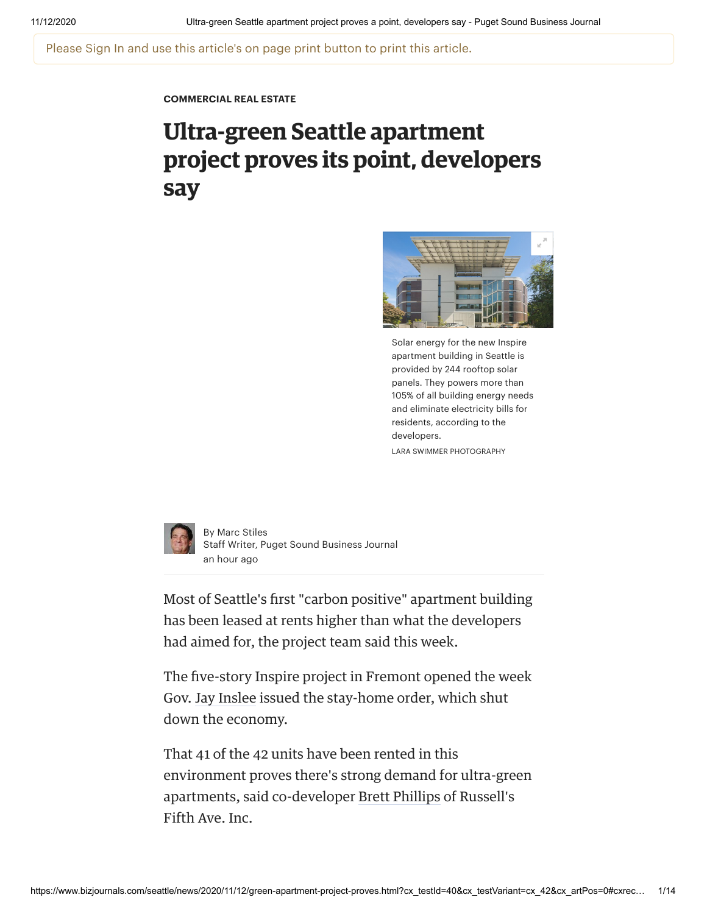Please Sign In and use this article's on page print button to print this article.

**[COMMERCIAL](https://www.bizjournals.com/seattle/news/commercial-real-estate/) REAL ESTATE**

# **Ultra-green Seattle apartment project proves its point, developers say**



Solar energy for the new Inspire apartment building in Seattle is provided by 244 rooftop solar panels. They powers more than 105% of all building energy needs and eliminate electricity bills for residents, according to the developers. LARA SWIMMER PHOTOGRAPHY



By Marc [Stiles](https://www.bizjournals.com/seattle/bio/13831/Marc+Stiles) Staff Writer, Puget Sound Business Journal an hour ago

Most of Seattle's first "carbon positive" apartment building has been leased at rents higher than what the developers had aimed for, the project team said this week.

The five-story Inspire project in Fremont opened the week Gov. Jay [Inslee](https://www.bizjournals.com/seattle/search/results?q=Jay%20Inslee) issued the stay-home order, which shut down the economy.

That 41 of the 42 units have been rented in this environment proves there's strong demand for ultra-green apartments, said co-developer Brett [Phillips](https://www.bizjournals.com/seattle/search/results?q=Brett%20Phillips) of Russell's Fith Ave. Inc.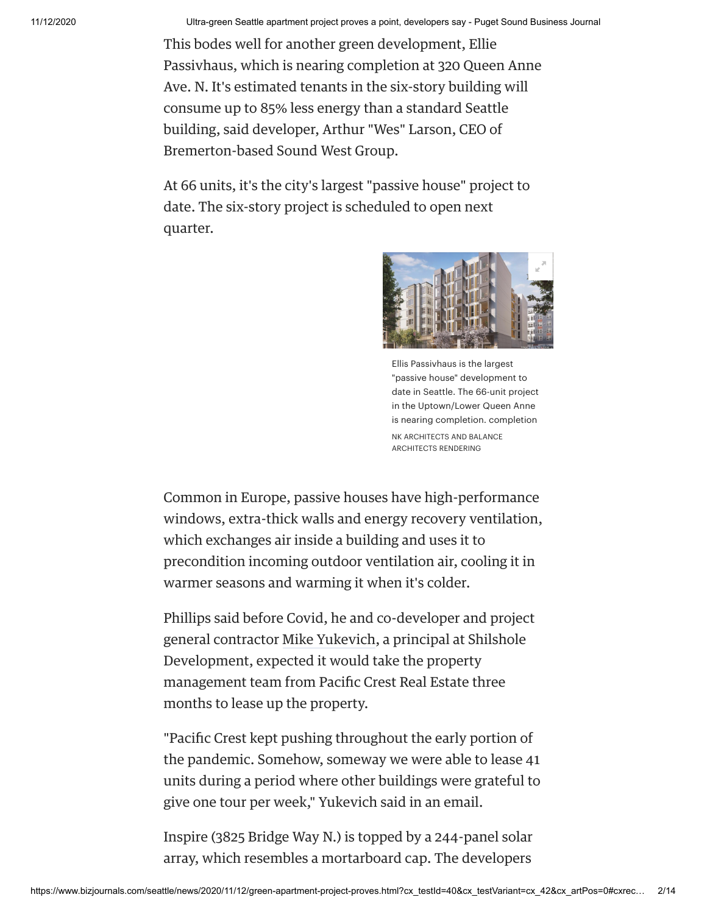This bodes well for another green development, Ellie Passivhaus, which is nearing completion at 320 Queen Anne Ave. N. It's estimated tenants in the six-story building will consume up to 85% less energy than a standard Seattle building, said developer, Arthur "Wes" Larson, CEO of Bremerton-bsed Sound West Group.

At 66 units, it's the city's largest "passive house" project to date. The six-story project is scheduled to open next quarter.



Ellis Passivhaus is the largest "passive house" development to date in Seattle. The 66-unit project in the Uptown/Lower Queen Anne is nearing completion. completion NK ARCHITECTS AND BALANCE ARCHITECTS RENDERING

Common in Europe, passive houses have high-performance windows, extra-thick walls and energy recovery ventilation, which exchanges air inside a building and uses it to precondition incoming outdoor ventilation air, cooling it in warmer seasons and warming it when it's colder.

Phillips said before Covid, he and co-developer and project general contractor Mike [Yukevich](https://www.bizjournals.com/seattle/search/results?q=Mike%20Yukevich), a principal at Shilshole Development, expected it would take the property management team from Pacific Crest Real Estate three months to lease up the property.

"Pacific Crest kept pushing throughout the early portion of the pandemic. Somehow, someway we were able to lease 41 units during a period where other buildings were grateful to give one tour per week," Yukevich said in an email.

Inspire (3825 Bridge Way N.) is topped by a 244-panel solar array, which resembles a mortarboard cap. The developers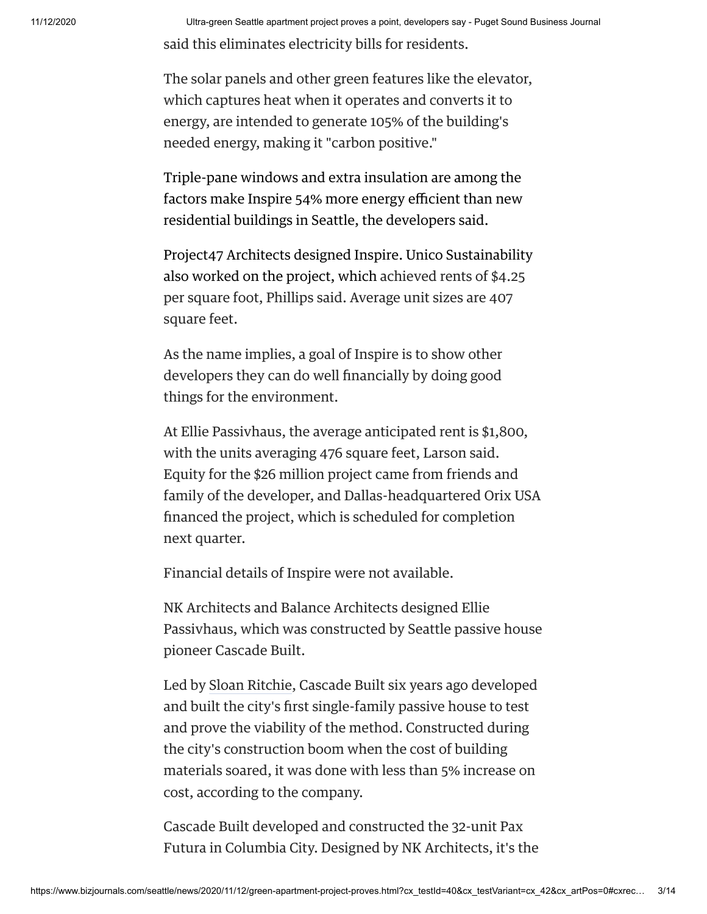said this eliminates electricity bills for residents.

The solar panels and other green features like the elevator, which captures heat when it operates and converts it to energy, are intended to generate 105% of the building's needed energy, making it "carbon positive."

Triple-pane windows and extra insulation are among the factors make Inspire 54% more energy efficient than new residential buildings in Seattle, the developers said.

Project47 Architects designed Inspire. Unico Sustainability also worked on the project, which achieved rents of \$4.25 per square foot, Phillips said. Average unit sizes are 407 square feet.

As the name implies, a goal of Inspire is to show other developers they can do well financially by doing good things for the environment.

At Ellie Passivhaus, the average anticipated rent is \$1,800, with the units averaging 476 square feet, Larson said. Equity for the \$26 million project came from friends and family of the developer, and Dallas-headquartered Orix USA financed the project, which is scheduled for completion next quarter.

Financial details of Inspire were not available.

NK Architects and Balance Architects designed Ellie Passivhaus, which was constructed by Seattle passive house pioneer Cascade Built.

Led by Sloan [Ritchie](https://www.bizjournals.com/seattle/search/results?q=Sloan%20Ritchie), Cascade Built six years ago developed and built the city's first single-family passive house to test and prove the viability of the method. Constructed during the city's construction boom when the cost of building materials soared, it was done with less than 5% increase on cost, according to the company.

Cascade Built developed and constructed the 32-unit Pax Futura in Columbia City. Designed by NK Architects, it's the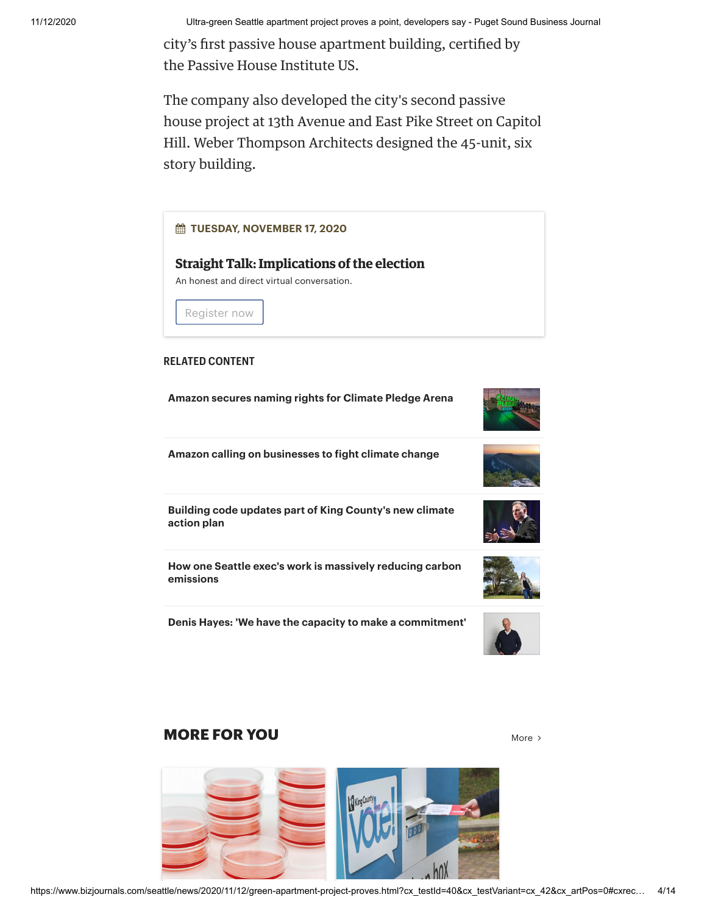city's first passive house apartment building, certified by the Passive House Institute US.

The company also developed the city's second passive house project at 13th Avenue and East Pike Street on Capitol Hill. Weber Thompson Architects designed the 45-unit, six story building.



### **MORE FOR YOU** [More](https://www.bizjournals.com/seattle)  $\lambda$



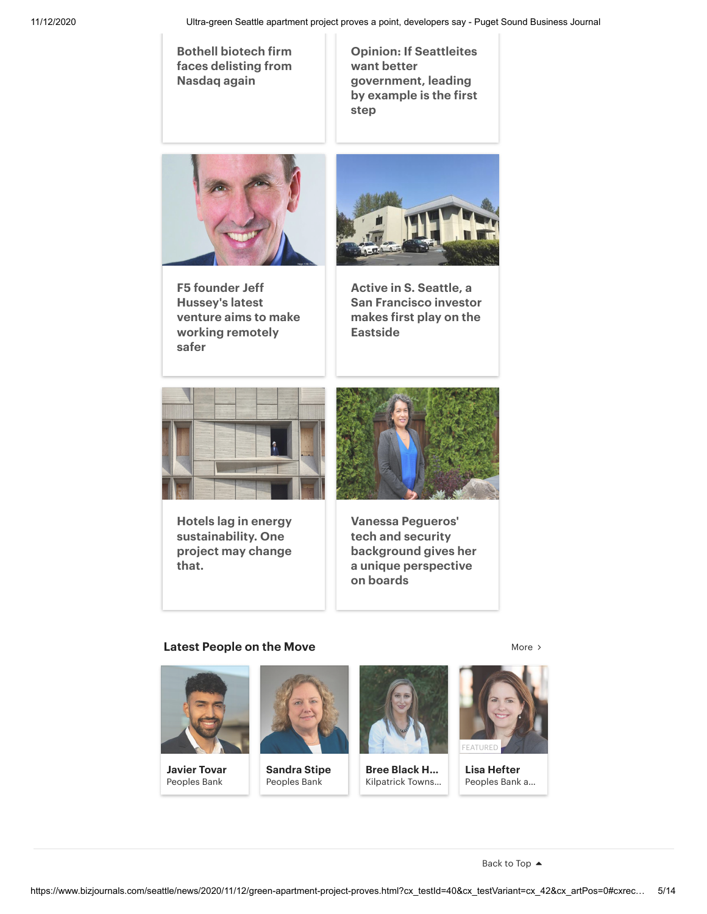**Bothell biotech firm faces [delisting](https://www.bizjournals.com/seattle/news/2020/11/12/bothell-biotech-firm-faces-delisting.html) from Nasdaq again**

**Opinion: If Seattleites want better [government,](https://www.bizjournals.com/seattle/news/2020/11/12/opinion-a-divided-country-undermines-democracy.html) leading by example is the first step**



**F5 founder Jeff Hussey's latest venture aims to make working [remotely](https://www.bizjournals.com/seattle/news/2020/10/08/jeff-hussey-helps-seattle-work-remotely.html) safer**



**Active in S. Seattle, a San [Francisco](https://www.bizjournals.com/seattle/news/2020/11/11/san-francisco-investor-makes-first-play.html) investor makes first play on the Eastside**



**Hotels lag in energy [sustainability.](https://www.bizjournals.com/bizjournals/news/2020/11/11/hotels-lag-in-energy-sustainability-one.html) One project may change that.**



**Vanessa Pegueros' tech and security [background](https://www.bizjournals.com/seattle/news/2020/11/11/director-year-vanessa-pegueros-security-engineer.html) gives her a unique perspective on boards**

#### **Latest [People](https://www.bizjournals.com/seattle/potm) on the Move** [More](https://www.bizjournals.com/seattle/potm) More More  $\rightarrow$



**Javier Tovar** Peoples Bank



**Sandra Stipe** Peoples Bank



**Bree Black H…** Kilpatrick Towns…



**Lisa Hefter** Peoples Bank a…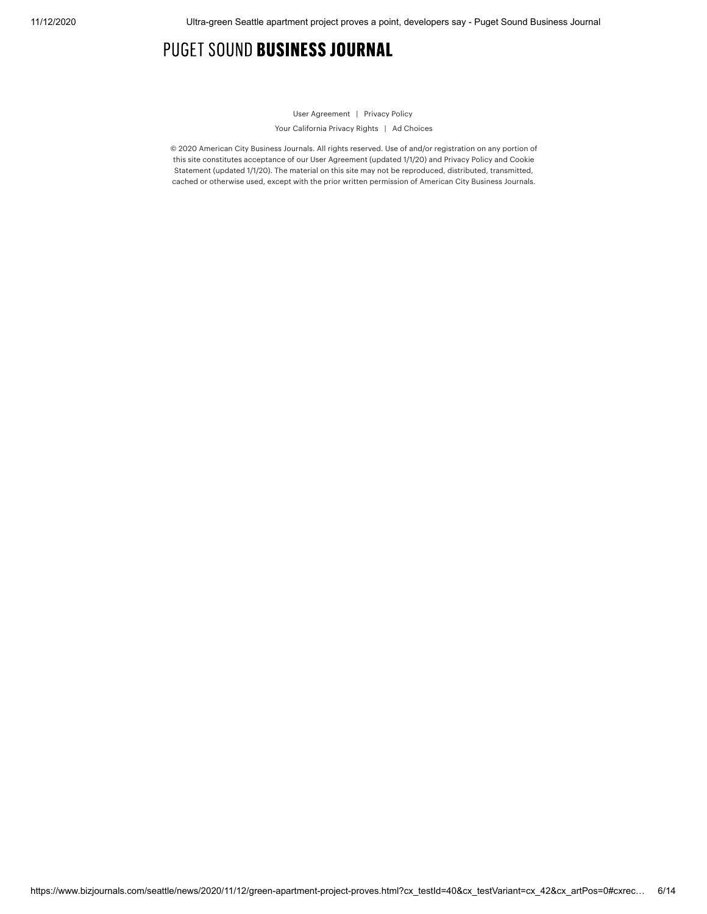## PUGET SOUND BUSINESS JOURNAL

#### User [Agreement](https://www.bizjournals.com/useragreement) | [Privacy](https://www.bizjournals.com/privacy) Policy

Your [California](https://www.bizjournals.com/privacy#X) Privacy Rights | Ad [Choices](https://www.bizjournals.com/privacy#VII)

© 2020 American City Business Journals. All rights reserved. Use of and/or registration on any portion of this site constitutes acceptance of our User [Agreement](https://www.bizjournals.com/useragreement) (updated 1/1/20) and Privacy Policy and Cookie Statement (updated 1/1/20). The material on this site may not be [reproduced,](https://www.bizjournals.com/privacy) distributed, transmitted, cached or otherwise used, except with the prior written permission of American City Business Journals.